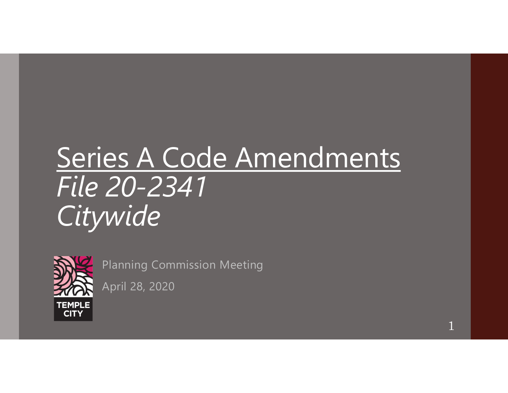# Series A Code Amendments File 20-2341 Citywide<sup>®</sup>



Planning Commission Meeting

April 28, 2020

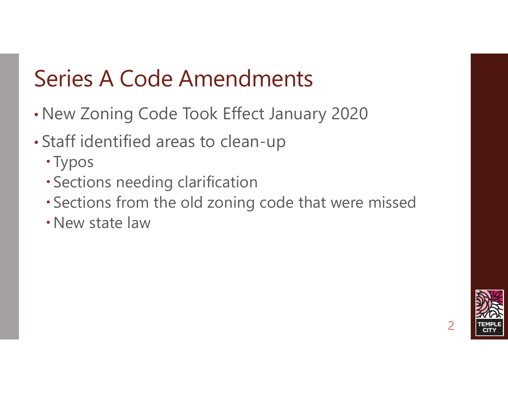# Series A Code Amendments

- New Zoning Code Took Effect January 2020
- Staff identified areas to clean-up
	- Typos
	- Sections needing clarification
	- Sections from the old zoning code that were missed
	- New state law

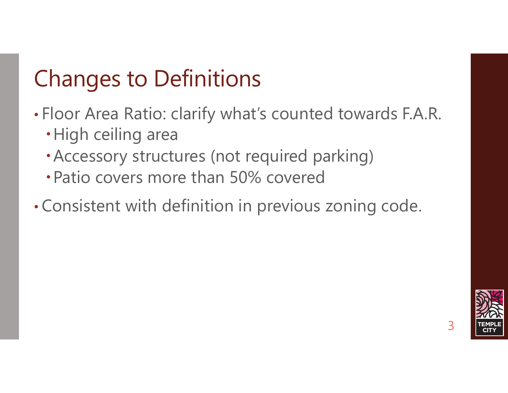# Changes to Definitions

- Floor Area Ratio: clarify what's counted towards F.A.R.
	- High ceiling area
	- Accessory structures (not required parking)
	- Patio covers more than 50% covered
- Consistent with definition in previous zoning code.

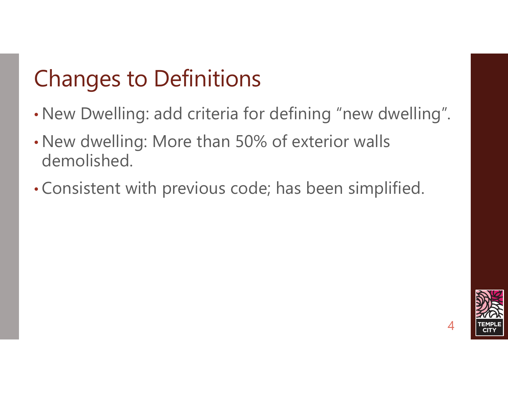# Changes to Definitions

- New Dwelling: add criteria for defining "new dwelling".
- New dwelling: More than 50% of exterior walls demolished.
- Consistent with previous code; has been simplified.

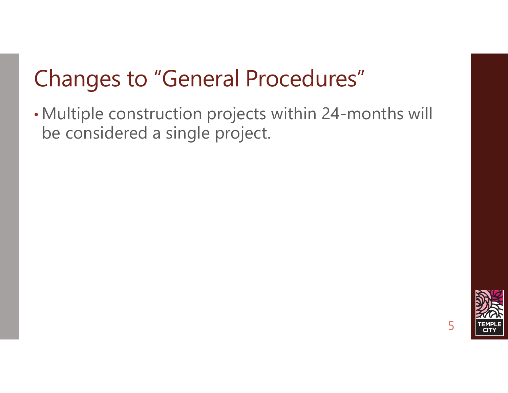# Changes to "General Procedures"

• Multiple construction projects within 24-months will be considered a single project.

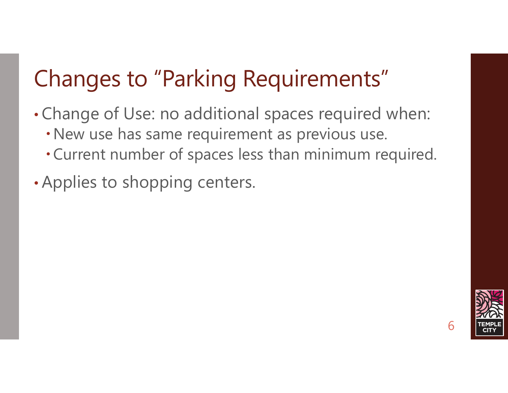# Changes to "Parking Requirements"

- Change of Use: no additional spaces required when:
	- New use has same requirement as previous use.
	- Current number of spaces less than minimum required.
- Applies to shopping centers.

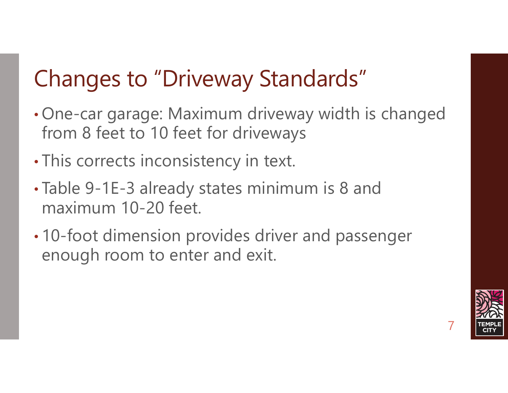# Changes to "Driveway Standards"

- One-car garage: Maximum driveway width is changed from 8 feet to 10 feet for driveways
- This corrects inconsistency in text.
- Table 9-1E-3 already states minimum is 8 and maximum 10-20 feet.
- 10-foot dimension provides driver and passenger enough room to enter and exit.

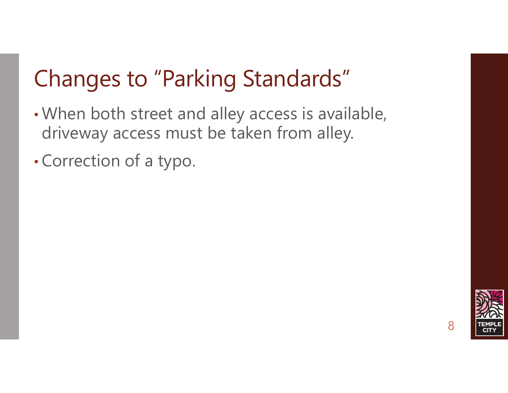# Changes to "Parking Standards"

- When both street and alley access is available, driveway access must be taken from alley.
- Correction of a typo.

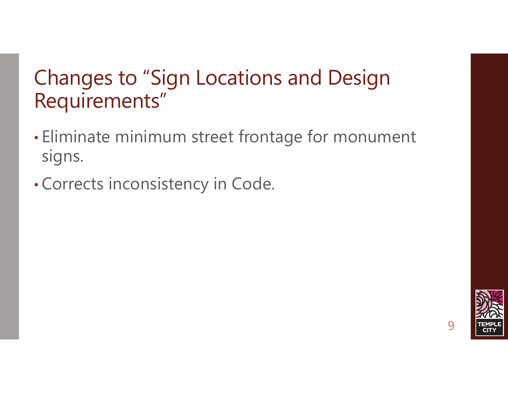#### Changes to "Sign Locations and Design Requirements"

- Eliminate minimum street frontage for monument signs.
- Corrects inconsistency in Code.

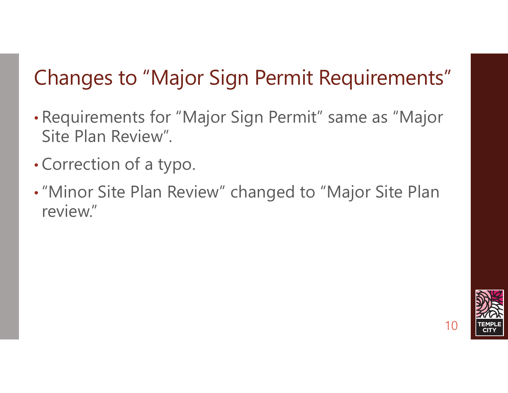#### Changes to "Major Sign Permit Requirements"

- Requirements for "Major Sign Permit" same as "Major Site Plan Review".
- Correction of a typo.
- •"Minor Site Plan Review" changed to "Major Site Plan review."

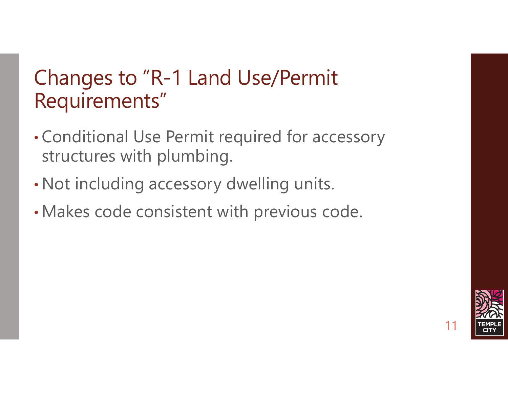#### Changes to "R-1 Land Use/Permit Requirements"

- Conditional Use Permit required for accessory structures with plumbing.
- Not including accessory dwelling units.
- Makes code consistent with previous code.

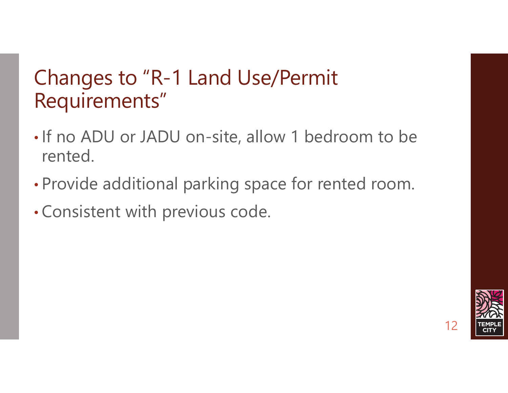#### Changes to "R-1 Land Use/Permit Requirements"

- If no ADU or JADU on-site, allow 1 bedroom to be rented.
- Provide additional parking space for rented room.
- Consistent with previous code.

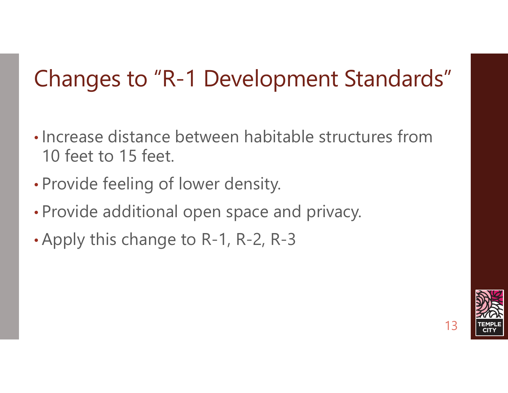- Increase distance between habitable structures from 10 feet to 15 feet. Changes to "R-1 Development Standards"<br>
• Increase distance between habitable structures from<br>
10 feet to 15 feet.<br>
• Provide feeling of lower density.<br>
• Provide additional open space and privacy.<br>
• Apply this change to
- Provide feeling of lower density.
- Provide additional open space and privacy.
- 

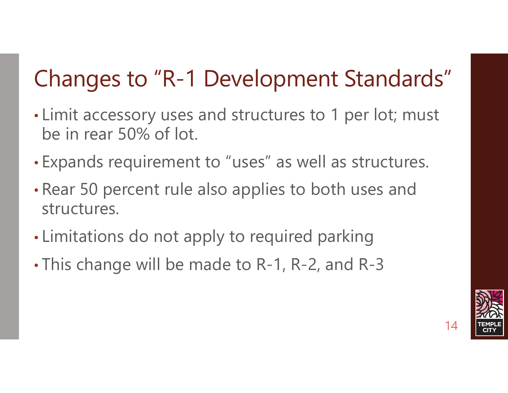- Limit accessory uses and structures to 1 per lot; must be in rear 50% of lot. • Limit accessory uses and structures to 1 per lot; must<br>be in rear 50% of lot.<br>• Expands requirement to "uses" as well as structures.<br>• Rear 50 percent rule also applies to both uses and<br>structures.<br>• Limitations do not a
- Expands requirement to "uses" as well as structures.
- Rear 50 percent rule also applies to both uses and structures.
- Limitations do not apply to required parking
- 

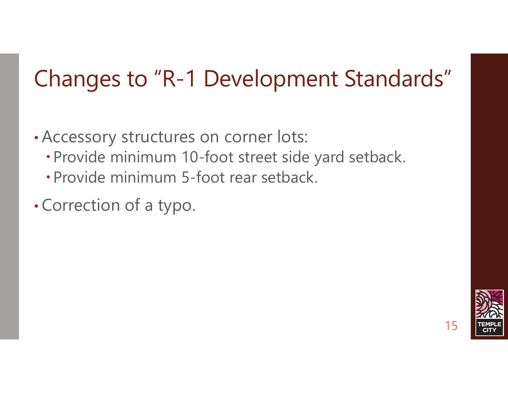- Accessory structures on corner lots:
	- Provide minimum 10-foot street side yard setback.
	- Provide minimum 5-foot rear setback.
- Correction of a typo.

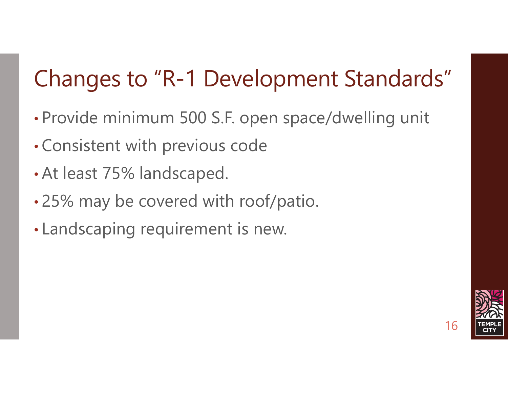- Provide minimum 500 S.F. open space/dwelling unit
- Consistent with previous code
- At least 75% landscaped.
- 25% may be covered with roof/patio.
- Landscaping requirement is new.

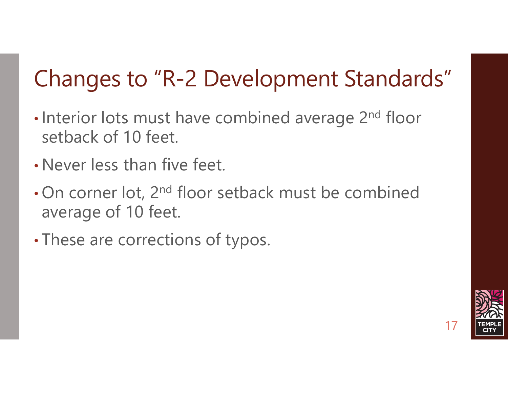- Interior lots must have combined average 2<sup>nd</sup> floor setback of 10 feet.
- Never less than five feet.
- On corner lot, 2<sup>nd</sup> floor setback must be combined average of 10 feet.
- These are corrections of typos.

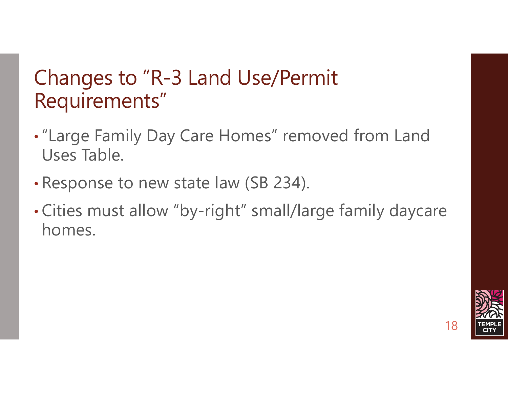#### Changes to "R-3 Land Use/Permit Requirements"

- •"Large Family Day Care Homes" removed from Land Uses Table.
- Response to new state law (SB 234).
- Cities must allow "by-right" small/large family daycare homes.

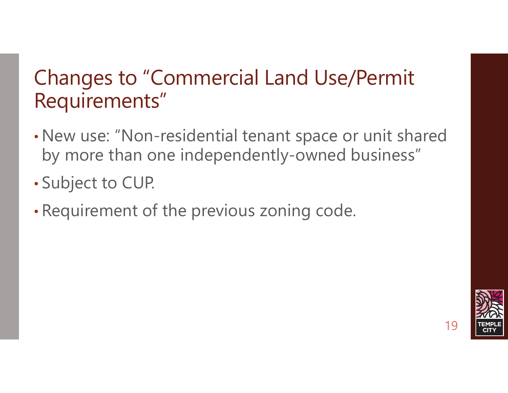#### Changes to "Commercial Land Use/Permit Requirements"

- New use: "Non-residential tenant space or unit shared by more than one independently-owned business"
- Subject to CUP.
- Requirement of the previous zoning code.

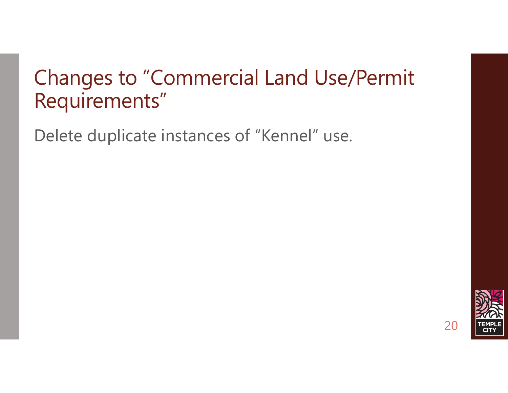#### Changes to "Commercial Land Use/Permit Requirements"

Delete duplicate instances of "Kennel" use.

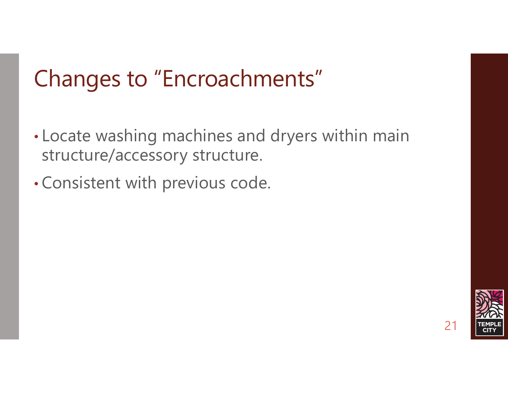## Changes to "Encroachments"

- Locate washing machines and dryers within main structure/accessory structure.
- Consistent with previous code.

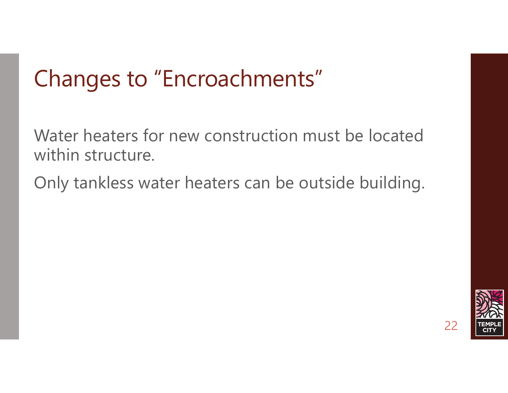## Changes to "Encroachments"

Water heaters for new construction must be located within structure.

Only tankless water heaters can be outside building.

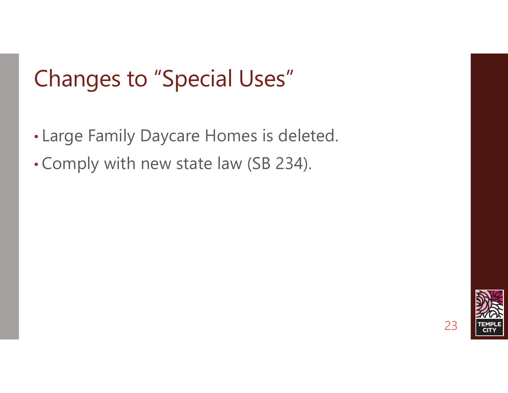## Changes to "Special Uses"

- Large Family Daycare Homes is deleted.
- Comply with new state law (SB 234).

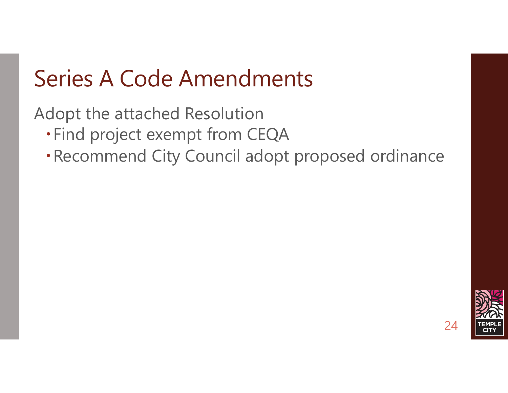### Series A Code Amendments

Adopt the attached Resolution

- Find project exempt from CEQA
- Recommend City Council adopt proposed ordinance